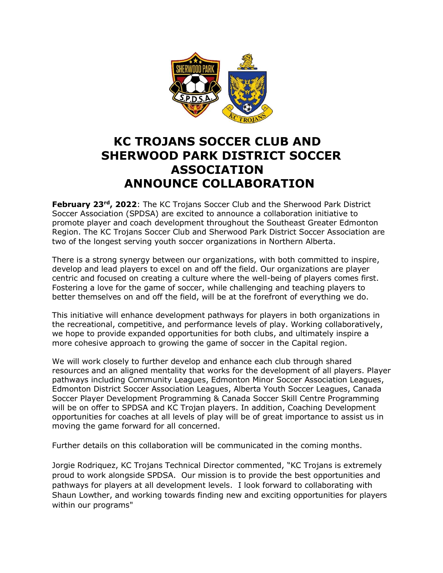

## **KC TROJANS SOCCER CLUB AND SHERWOOD PARK DISTRICT SOCCER ASSOCIATION ANNOUNCE COLLABORATION**

**February 23<sup>rd</sup>, 2022**: The KC Trojans Soccer Club and the Sherwood Park District Soccer Association (SPDSA) are excited to announce a collaboration initiative to promote player and coach development throughout the Southeast Greater Edmonton Region. The KC Trojans Soccer Club and Sherwood Park District Soccer Association are two of the longest serving youth soccer organizations in Northern Alberta.

There is a strong synergy between our organizations, with both committed to inspire, develop and lead players to excel on and off the field. Our organizations are player centric and focused on creating a culture where the well-being of players comes first. Fostering a love for the game of soccer, while challenging and teaching players to better themselves on and off the field, will be at the forefront of everything we do.

This initiative will enhance development pathways for players in both organizations in the recreational, competitive, and performance levels of play. Working collaboratively, we hope to provide expanded opportunities for both clubs, and ultimately inspire a more cohesive approach to growing the game of soccer in the Capital region.

We will work closely to further develop and enhance each club through shared resources and an aligned mentality that works for the development of all players. Player pathways including Community Leagues, Edmonton Minor Soccer Association Leagues, Edmonton District Soccer Association Leagues, Alberta Youth Soccer Leagues, Canada Soccer Player Development Programming & Canada Soccer Skill Centre Programming will be on offer to SPDSA and KC Trojan players. In addition, Coaching Development opportunities for coaches at all levels of play will be of great importance to assist us in moving the game forward for all concerned.

Further details on this collaboration will be communicated in the coming months.

Jorgie Rodriquez, KC Trojans Technical Director commented, "KC Trojans is extremely proud to work alongside SPDSA. Our mission is to provide the best opportunities and pathways for players at all development levels. I look forward to collaborating with Shaun Lowther, and working towards finding new and exciting opportunities for players within our programs"